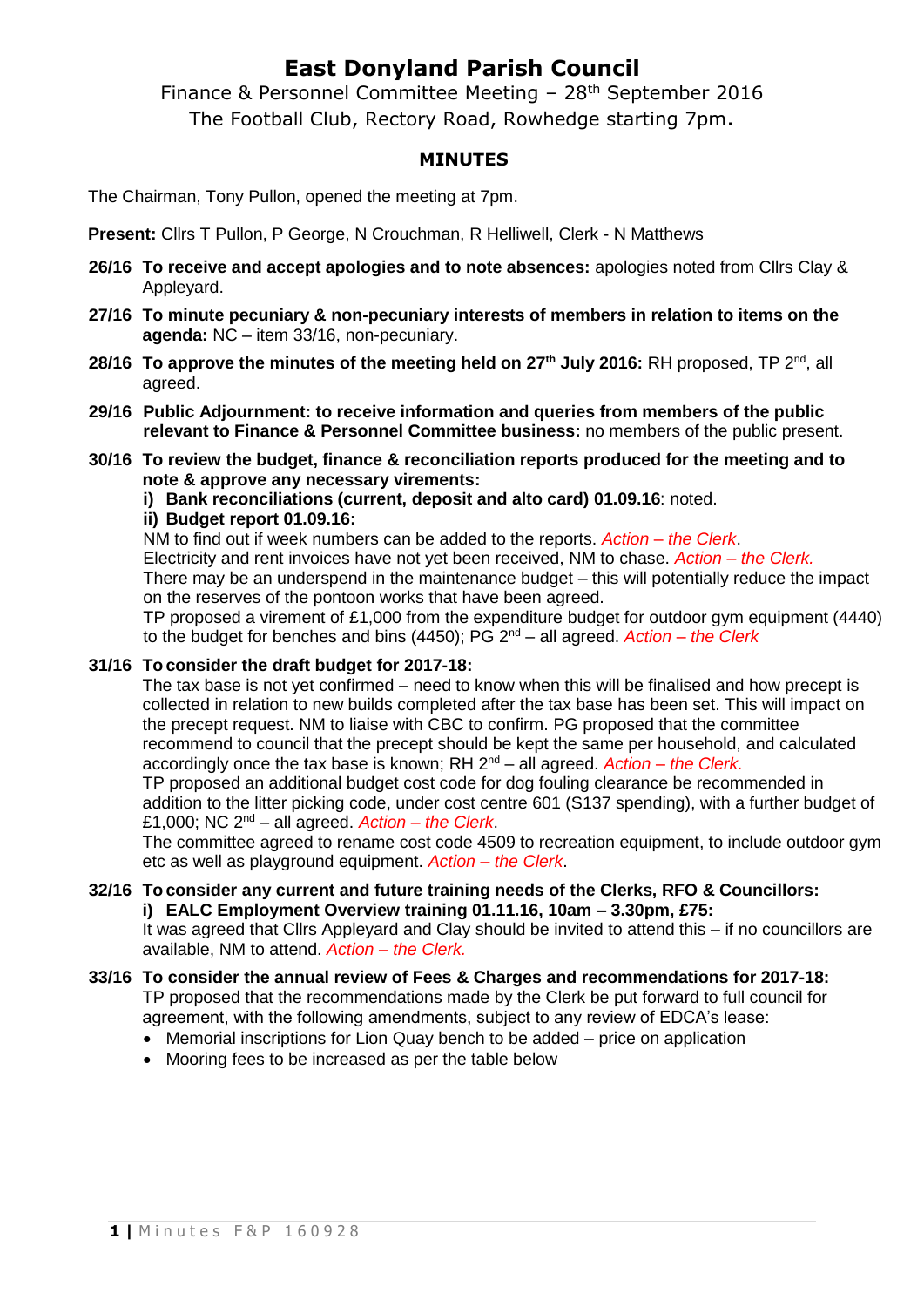## **East Donyland Parish Council**

Finance & Personnel Committee Meeting - 28<sup>th</sup> September 2016 The Football Club, Rectory Road, Rowhedge starting 7pm.

### **MINUTES**

The Chairman, Tony Pullon, opened the meeting at 7pm.

**Present:** Cllrs T Pullon, P George, N Crouchman, R Helliwell, Clerk - N Matthews

- **26/16 To receive and accept apologies and to note absences:** apologies noted from Cllrs Clay & Appleyard.
- **27/16 To minute pecuniary & non-pecuniary interests of members in relation to items on the agenda:** NC – item 33/16, non-pecuniary.
- **28/16 To approve the minutes of the meeting held on 27th July 2016:** RH proposed, TP 2 nd, all agreed.
- **29/16 Public Adjournment: to receive information and queries from members of the public relevant to Finance & Personnel Committee business:** no members of the public present.
- **30/16 To review the budget, finance & reconciliation reports produced for the meeting and to note & approve any necessary virements:**

**i) Bank reconciliations (current, deposit and alto card) 01.09.16**: noted.

#### **ii) Budget report 01.09.16:**

NM to find out if week numbers can be added to the reports. *Action – the Clerk*.

Electricity and rent invoices have not yet been received, NM to chase. *Action – the Clerk.* There may be an underspend in the maintenance budget – this will potentially reduce the impact on the reserves of the pontoon works that have been agreed.

TP proposed a virement of £1,000 from the expenditure budget for outdoor gym equipment (4440) to the budget for benches and bins (4450); PG 2nd – all agreed. *Action – the Clerk*

### **31/16 To consider the draft budget for 2017-18:**

The tax base is not yet confirmed – need to know when this will be finalised and how precept is collected in relation to new builds completed after the tax base has been set. This will impact on the precept request. NM to liaise with CBC to confirm. PG proposed that the committee recommend to council that the precept should be kept the same per household, and calculated accordingly once the tax base is known; RH 2nd – all agreed. *Action – the Clerk.*

TP proposed an additional budget cost code for dog fouling clearance be recommended in addition to the litter picking code, under cost centre 601 (S137 spending), with a further budget of £1,000; NC 2nd – all agreed. *Action – the Clerk*.

The committee agreed to rename cost code 4509 to recreation equipment, to include outdoor gym etc as well as playground equipment. *Action – the Clerk*.

#### **32/16 To consider any current and future training needs of the Clerks, RFO & Councillors: i) EALC Employment Overview training 01.11.16, 10am – 3.30pm, £75:**

It was agreed that Cllrs Appleyard and Clay should be invited to attend this – if no councillors are available, NM to attend. *Action – the Clerk.*

- **33/16 To consider the annual review of Fees & Charges and recommendations for 2017-18:** TP proposed that the recommendations made by the Clerk be put forward to full council for agreement, with the following amendments, subject to any review of EDCA's lease:
	- Memorial inscriptions for Lion Quay bench to be added price on application
	- Mooring fees to be increased as per the table below